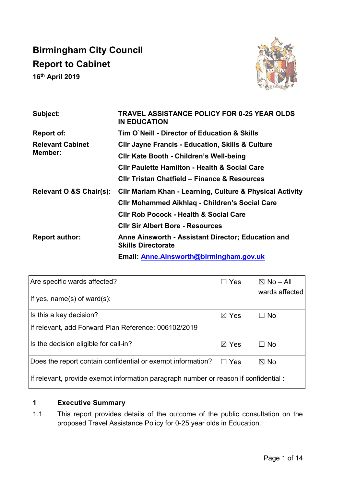# **Birmingham City Council Report to Cabinet**

**16th April 2019**



| Subject:                           | TRAVEL ASSISTANCE POLICY FOR 0-25 YEAR OLDS<br><b>IN EDUCATION</b>              |
|------------------------------------|---------------------------------------------------------------------------------|
| Report of:                         | Tim O`Neill - Director of Education & Skills                                    |
| <b>Relevant Cabinet</b><br>Member: | <b>CIIr Jayne Francis - Education, Skills &amp; Culture</b>                     |
|                                    | <b>CIIr Kate Booth - Children's Well-being</b>                                  |
|                                    | <b>CIIr Paulette Hamilton - Health &amp; Social Care</b>                        |
|                                    | <b>CIIr Tristan Chatfield - Finance &amp; Resources</b>                         |
| Relevant O &S Chair(s):            | CIIr Mariam Khan - Learning, Culture & Physical Activity                        |
|                                    | <b>CIIr Mohammed Aikhlag - Children's Social Care</b>                           |
|                                    | <b>CIIr Rob Pocock - Health &amp; Social Care</b>                               |
|                                    | <b>Clir Sir Albert Bore - Resources</b>                                         |
| <b>Report author:</b>              | Anne Ainsworth - Assistant Director; Education and<br><b>Skills Directorate</b> |
|                                    | Email: Anne. Ainsworth@birmingham.gov.uk                                        |

| Are specific wards affected?                                                         | Yes             | $\boxtimes$ No – All<br>wards affected |  |
|--------------------------------------------------------------------------------------|-----------------|----------------------------------------|--|
| If yes, name(s) of ward(s):                                                          |                 |                                        |  |
| Is this a key decision?                                                              | $\boxtimes$ Yes | $\Box$ No                              |  |
| If relevant, add Forward Plan Reference: 006102/2019                                 |                 |                                        |  |
| Is the decision eligible for call-in?                                                | $\boxtimes$ Yes | ⊟ No                                   |  |
| Does the report contain confidential or exempt information? $\square$ Yes            |                 | $\boxtimes$ No                         |  |
| If relevant, provide exempt information paragraph number or reason if confidential : |                 |                                        |  |

# **1 Executive Summary**

1.1 This report provides details of the outcome of the public consultation on the proposed Travel Assistance Policy for 0-25 year olds in Education.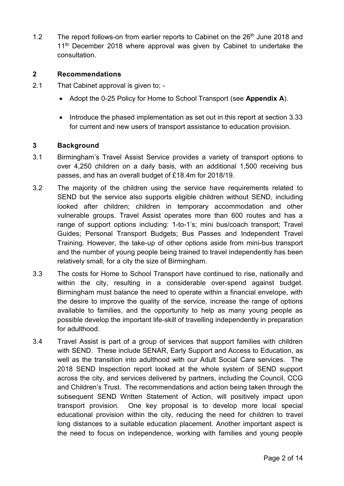1.2 The report follows-on from earlier reports to Cabinet on the  $26<sup>th</sup>$  June 2018 and 11<sup>th</sup> December 2018 where approval was given by Cabinet to undertake the consultation.

#### **2 Recommendations**

- 2.1 That Cabinet approval is given to;
	- Adopt the 0-25 Policy for Home to School Transport (see **Appendix A**).
	- Introduce the phased implementation as set out in this report at section 3.33 for current and new users of transport assistance to education provision.

#### **3 Background**

- 3.1 Birmingham's Travel Assist Service provides a variety of transport options to over 4,250 children on a daily basis, with an additional 1,500 receiving bus passes, and has an overall budget of £18.4m for 2018/19.
- 3.2 The majority of the children using the service have requirements related to SEND but the service also supports eligible children without SEND, including looked after children; children in temporary accommodation and other vulnerable groups. Travel Assist operates more than 600 routes and has a range of support options including: 1-to-1's; mini bus/coach transport; Travel Guides; Personal Transport Budgets; Bus Passes and Independent Travel Training. However, the take-up of other options aside from mini-bus transport and the number of young people being trained to travel independently has been relatively small, for a city the size of Birmingham.
- 3.3 The costs for Home to School Transport have continued to rise, nationally and within the city, resulting in a considerable over-spend against budget. Birmingham must balance the need to operate within a financial envelope, with the desire to improve the quality of the service, increase the range of options available to families, and the opportunity to help as many young people as possible develop the important life-skill of travelling independently in preparation for adulthood.
- 3.4 Travel Assist is part of a group of services that support families with children with SEND. These include SENAR, Early Support and Access to Education, as well as the transition into adulthood with our Adult Social Care services. The 2018 SEND Inspection report looked at the whole system of SEND support across the city, and services delivered by partners, including the Council, CCG and Children's Trust. The recommendations and action being taken through the subsequent SEND Written Statement of Action, will positively impact upon transport provision. One key proposal is to develop more local special educational provision within the city, reducing the need for children to travel long distances to a suitable education placement. Another important aspect is the need to focus on independence, working with families and young people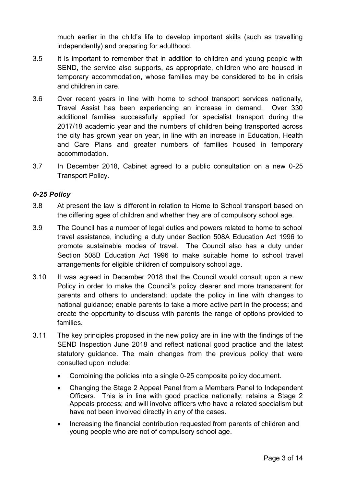much earlier in the child's life to develop important skills (such as travelling independently) and preparing for adulthood.

- 3.5 It is important to remember that in addition to children and young people with SEND, the service also supports, as appropriate, children who are housed in temporary accommodation, whose families may be considered to be in crisis and children in care.
- 3.6 Over recent years in line with home to school transport services nationally, Travel Assist has been experiencing an increase in demand. Over 330 additional families successfully applied for specialist transport during the 2017/18 academic year and the numbers of children being transported across the city has grown year on year, in line with an increase in Education, Health and Care Plans and greater numbers of families housed in temporary accommodation.
- 3.7 In December 2018, Cabinet agreed to a public consultation on a new 0-25 Transport Policy.

#### *0-25 Policy*

- 3.8 At present the law is different in relation to Home to School transport based on the differing ages of children and whether they are of compulsory school age.
- 3.9 The Council has a number of legal duties and powers related to home to school travel assistance, including a duty under Section 508A Education Act 1996 to promote sustainable modes of travel. The Council also has a duty under Section 508B Education Act 1996 to make suitable home to school travel arrangements for eligible children of compulsory school age.
- 3.10 It was agreed in December 2018 that the Council would consult upon a new Policy in order to make the Council's policy clearer and more transparent for parents and others to understand; update the policy in line with changes to national guidance; enable parents to take a more active part in the process; and create the opportunity to discuss with parents the range of options provided to families.
- 3.11 The key principles proposed in the new policy are in line with the findings of the SEND Inspection June 2018 and reflect national good practice and the latest statutory guidance. The main changes from the previous policy that were consulted upon include:
	- Combining the policies into a single 0-25 composite policy document.
	- Changing the Stage 2 Appeal Panel from a Members Panel to Independent Officers. This is in line with good practice nationally; retains a Stage 2 Appeals process; and will involve officers who have a related specialism but have not been involved directly in any of the cases.
	- Increasing the financial contribution requested from parents of children and young people who are not of compulsory school age.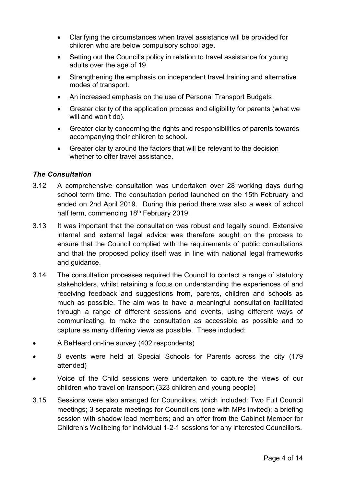- Clarifying the circumstances when travel assistance will be provided for children who are below compulsory school age.
- Setting out the Council's policy in relation to travel assistance for young adults over the age of 19.
- Strengthening the emphasis on independent travel training and alternative modes of transport.
- An increased emphasis on the use of Personal Transport Budgets.
- Greater clarity of the application process and eligibility for parents (what we will and won't do).
- Greater clarity concerning the rights and responsibilities of parents towards accompanying their children to school.
- Greater clarity around the factors that will be relevant to the decision whether to offer travel assistance

### *The Consultation*

- 3.12 A comprehensive consultation was undertaken over 28 working days during school term time. The consultation period launched on the 15th February and ended on 2nd April 2019. During this period there was also a week of school half term, commencing 18<sup>th</sup> February 2019.
- 3.13 It was important that the consultation was robust and legally sound. Extensive internal and external legal advice was therefore sought on the process to ensure that the Council complied with the requirements of public consultations and that the proposed policy itself was in line with national legal frameworks and guidance.
- 3.14 The consultation processes required the Council to contact a range of statutory stakeholders, whilst retaining a focus on understanding the experiences of and receiving feedback and suggestions from, parents, children and schools as much as possible. The aim was to have a meaningful consultation facilitated through a range of different sessions and events, using different ways of communicating, to make the consultation as accessible as possible and to capture as many differing views as possible. These included:
- A BeHeard on-line survey (402 respondents)
- 8 events were held at Special Schools for Parents across the city (179 attended)
- Voice of the Child sessions were undertaken to capture the views of our children who travel on transport (323 children and young people)
- 3.15 Sessions were also arranged for Councillors, which included: Two Full Council meetings; 3 separate meetings for Councillors (one with MPs invited); a briefing session with shadow lead members; and an offer from the Cabinet Member for Children's Wellbeing for individual 1-2-1 sessions for any interested Councillors.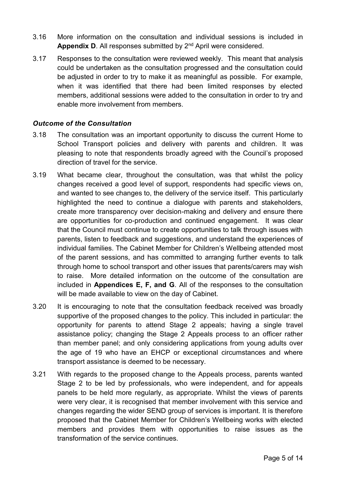- 3.16 More information on the consultation and individual sessions is included in **Appendix D.** All responses submitted by 2<sup>nd</sup> April were considered.
- 3.17 Responses to the consultation were reviewed weekly. This meant that analysis could be undertaken as the consultation progressed and the consultation could be adjusted in order to try to make it as meaningful as possible. For example, when it was identified that there had been limited responses by elected members, additional sessions were added to the consultation in order to try and enable more involvement from members.

#### *Outcome of the Consultation*

- 3.18 The consultation was an important opportunity to discuss the current Home to School Transport policies and delivery with parents and children. It was pleasing to note that respondents broadly agreed with the Council's proposed direction of travel for the service.
- 3.19 What became clear, throughout the consultation, was that whilst the policy changes received a good level of support, respondents had specific views on, and wanted to see changes to, the delivery of the service itself. This particularly highlighted the need to continue a dialogue with parents and stakeholders, create more transparency over decision-making and delivery and ensure there are opportunities for co-production and continued engagement. It was clear that the Council must continue to create opportunities to talk through issues with parents, listen to feedback and suggestions, and understand the experiences of individual families. The Cabinet Member for Children's Wellbeing attended most of the parent sessions, and has committed to arranging further events to talk through home to school transport and other issues that parents/carers may wish to raise. More detailed information on the outcome of the consultation are included in **Appendices E, F, and G**. All of the responses to the consultation will be made available to view on the day of Cabinet.
- 3.20 It is encouraging to note that the consultation feedback received was broadly supportive of the proposed changes to the policy. This included in particular: the opportunity for parents to attend Stage 2 appeals; having a single travel assistance policy; changing the Stage 2 Appeals process to an officer rather than member panel; and only considering applications from young adults over the age of 19 who have an EHCP or exceptional circumstances and where transport assistance is deemed to be necessary.
- 3.21 With regards to the proposed change to the Appeals process, parents wanted Stage 2 to be led by professionals, who were independent, and for appeals panels to be held more regularly, as appropriate. Whilst the views of parents were very clear, it is recognised that member involvement with this service and changes regarding the wider SEND group of services is important. It is therefore proposed that the Cabinet Member for Children's Wellbeing works with elected members and provides them with opportunities to raise issues as the transformation of the service continues.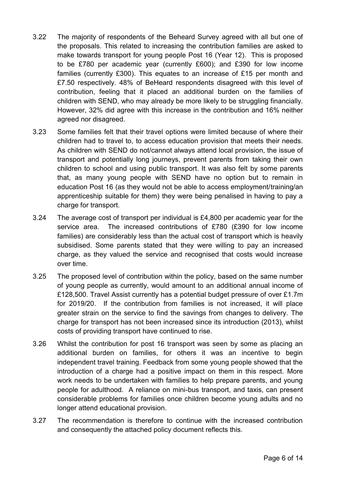- 3.22 The majority of respondents of the Beheard Survey agreed with all but one of the proposals. This related to increasing the contribution families are asked to make towards transport for young people Post 16 (Year 12). This is proposed to be £780 per academic year (currently £600); and £390 for low income families (currently £300). This equates to an increase of £15 per month and £7.50 respectively. 48% of BeHeard respondents disagreed with this level of contribution, feeling that it placed an additional burden on the families of children with SEND, who may already be more likely to be struggling financially. However, 32% did agree with this increase in the contribution and 16% neither agreed nor disagreed.
- 3.23 Some families felt that their travel options were limited because of where their children had to travel to, to access education provision that meets their needs. As children with SEND do not/cannot always attend local provision, the issue of transport and potentially long journeys, prevent parents from taking their own children to school and using public transport. It was also felt by some parents that, as many young people with SEND have no option but to remain in education Post 16 (as they would not be able to access employment/training/an apprenticeship suitable for them) they were being penalised in having to pay a charge for transport.
- 3.24 The average cost of transport per individual is £4,800 per academic year for the service area. The increased contributions of £780 (£390 for low income families) are considerably less than the actual cost of transport which is heavily subsidised. Some parents stated that they were willing to pay an increased charge, as they valued the service and recognised that costs would increase over time.
- 3.25 The proposed level of contribution within the policy, based on the same number of young people as currently, would amount to an additional annual income of £128,500. Travel Assist currently has a potential budget pressure of over £1.7m for 2019/20. If the contribution from families is not increased, it will place greater strain on the service to find the savings from changes to delivery. The charge for transport has not been increased since its introduction (2013), whilst costs of providing transport have continued to rise.
- 3.26 Whilst the contribution for post 16 transport was seen by some as placing an additional burden on families, for others it was an incentive to begin independent travel training. Feedback from some young people showed that the introduction of a charge had a positive impact on them in this respect. More work needs to be undertaken with families to help prepare parents, and young people for adulthood. A reliance on mini-bus transport, and taxis, can present considerable problems for families once children become young adults and no longer attend educational provision.
- 3.27 The recommendation is therefore to continue with the increased contribution and consequently the attached policy document reflects this.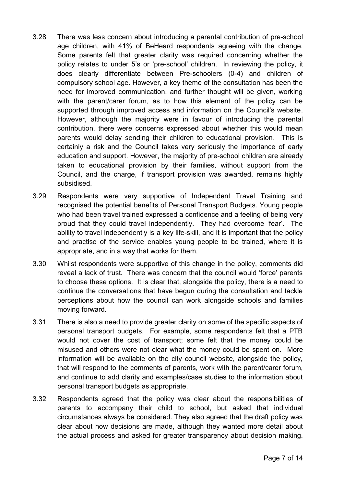- 3.28 There was less concern about introducing a parental contribution of pre-school age children, with 41% of BeHeard respondents agreeing with the change. Some parents felt that greater clarity was required concerning whether the policy relates to under 5's or 'pre-school' children. In reviewing the policy, it does clearly differentiate between Pre-schoolers (0-4) and children of compulsory school age. However, a key theme of the consultation has been the need for improved communication, and further thought will be given, working with the parent/carer forum, as to how this element of the policy can be supported through improved access and information on the Council's website. However, although the majority were in favour of introducing the parental contribution, there were concerns expressed about whether this would mean parents would delay sending their children to educational provision. This is certainly a risk and the Council takes very seriously the importance of early education and support. However, the majority of pre-school children are already taken to educational provision by their families, without support from the Council, and the charge, if transport provision was awarded, remains highly subsidised.
- 3.29 Respondents were very supportive of Independent Travel Training and recognised the potential benefits of Personal Transport Budgets. Young people who had been travel trained expressed a confidence and a feeling of being very proud that they could travel independently. They had overcome 'fear'. The ability to travel independently is a key life-skill, and it is important that the policy and practise of the service enables young people to be trained, where it is appropriate, and in a way that works for them.
- 3.30 Whilst respondents were supportive of this change in the policy, comments did reveal a lack of trust. There was concern that the council would 'force' parents to choose these options. It is clear that, alongside the policy, there is a need to continue the conversations that have begun during the consultation and tackle perceptions about how the council can work alongside schools and families moving forward.
- 3.31 There is also a need to provide greater clarity on some of the specific aspects of personal transport budgets. For example, some respondents felt that a PTB would not cover the cost of transport; some felt that the money could be misused and others were not clear what the money could be spent on. More information will be available on the city council website, alongside the policy, that will respond to the comments of parents, work with the parent/carer forum, and continue to add clarity and examples/case studies to the information about personal transport budgets as appropriate.
- 3.32 Respondents agreed that the policy was clear about the responsibilities of parents to accompany their child to school, but asked that individual circumstances always be considered. They also agreed that the draft policy was clear about how decisions are made, although they wanted more detail about the actual process and asked for greater transparency about decision making.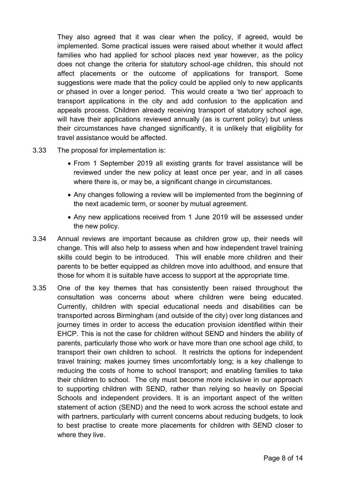They also agreed that it was clear when the policy, if agreed, would be implemented. Some practical issues were raised about whether it would affect families who had applied for school places next year however, as the policy does not change the criteria for statutory school-age children, this should not affect placements or the outcome of applications for transport. Some suggestions were made that the policy could be applied only to new applicants or phased in over a longer period. This would create a 'two tier' approach to transport applications in the city and add confusion to the application and appeals process. Children already receiving transport of statutory school age, will have their applications reviewed annually (as is current policy) but unless their circumstances have changed significantly, it is unlikely that eligibility for travel assistance would be affected.

- 3.33 The proposal for implementation is:
	- From 1 September 2019 all existing grants for travel assistance will be reviewed under the new policy at least once per year, and in all cases where there is, or may be, a significant change in circumstances.
	- Any changes following a review will be implemented from the beginning of the next academic term, or sooner by mutual agreement.
	- Any new applications received from 1 June 2019 will be assessed under the new policy.
- 3.34 Annual reviews are important because as children grow up, their needs will change. This will also help to assess when and how independent travel training skills could begin to be introduced. This will enable more children and their parents to be better equipped as children move into adulthood, and ensure that those for whom it is suitable have access to support at the appropriate time.
- 3.35 One of the key themes that has consistently been raised throughout the consultation was concerns about where children were being educated. Currently, children with special educational needs and disabilities can be transported across Birmingham (and outside of the city) over long distances and journey times in order to access the education provision identified within their EHCP. This is not the case for children without SEND and hinders the ability of parents, particularly those who work or have more than one school age child, to transport their own children to school. It restricts the options for independent travel training; makes journey times uncomfortably long; is a key challenge to reducing the costs of home to school transport; and enabling families to take their children to school. The city must become more inclusive in our approach to supporting children with SEND, rather than relying so heavily on Special Schools and independent providers. It is an important aspect of the written statement of action (SEND) and the need to work across the school estate and with partners, particularly with current concerns about reducing budgets, to look to best practise to create more placements for children with SEND closer to where they live.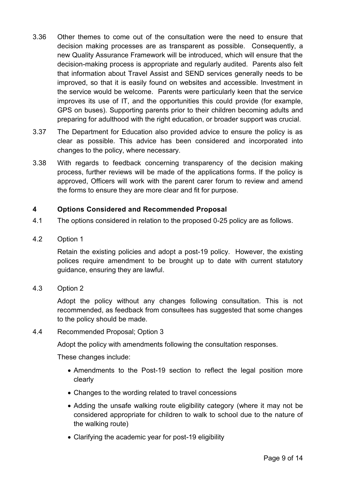- 3.36 Other themes to come out of the consultation were the need to ensure that decision making processes are as transparent as possible. Consequently, a new Quality Assurance Framework will be introduced, which will ensure that the decision-making process is appropriate and regularly audited. Parents also felt that information about Travel Assist and SEND services generally needs to be improved, so that it is easily found on websites and accessible. Investment in the service would be welcome. Parents were particularly keen that the service improves its use of IT, and the opportunities this could provide (for example, GPS on buses). Supporting parents prior to their children becoming adults and preparing for adulthood with the right education, or broader support was crucial.
- 3.37 The Department for Education also provided advice to ensure the policy is as clear as possible. This advice has been considered and incorporated into changes to the policy, where necessary.
- 3.38 With regards to feedback concerning transparency of the decision making process, further reviews will be made of the applications forms. If the policy is approved, Officers will work with the parent carer forum to review and amend the forms to ensure they are more clear and fit for purpose.

# **4 Options Considered and Recommended Proposal**

- 4.1 The options considered in relation to the proposed 0-25 policy are as follows.
- 4.2 Option 1

Retain the existing policies and adopt a post-19 policy. However, the existing polices require amendment to be brought up to date with current statutory guidance, ensuring they are lawful.

4.3 Option 2

Adopt the policy without any changes following consultation. This is not recommended, as feedback from consultees has suggested that some changes to the policy should be made.

#### 4.4 Recommended Proposal; Option 3

Adopt the policy with amendments following the consultation responses.

These changes include:

- Amendments to the Post-19 section to reflect the legal position more clearly
- Changes to the wording related to travel concessions
- Adding the unsafe walking route eligibility category (where it may not be considered appropriate for children to walk to school due to the nature of the walking route)
- Clarifying the academic year for post-19 eligibility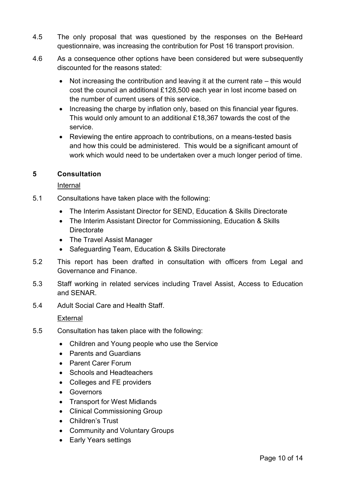- 4.5 The only proposal that was questioned by the responses on the BeHeard questionnaire, was increasing the contribution for Post 16 transport provision.
- 4.6 As a consequence other options have been considered but were subsequently discounted for the reasons stated:
	- Not increasing the contribution and leaving it at the current rate this would cost the council an additional £128,500 each year in lost income based on the number of current users of this service.
	- Increasing the charge by inflation only, based on this financial year figures. This would only amount to an additional £18,367 towards the cost of the service.
	- Reviewing the entire approach to contributions, on a means-tested basis and how this could be administered. This would be a significant amount of work which would need to be undertaken over a much longer period of time.

### **5 Consultation**

### Internal

- 5.1 Consultations have taken place with the following:
	- The Interim Assistant Director for SEND, Education & Skills Directorate
	- The Interim Assistant Director for Commissioning, Education & Skills **Directorate**
	- The Travel Assist Manager
	- Safeguarding Team, Education & Skills Directorate
- 5.2 This report has been drafted in consultation with officers from Legal and Governance and Finance.
- 5.3 Staff working in related services including Travel Assist, Access to Education and SENAR.
- 5.4 Adult Social Care and Health Staff.

### External

- 5.5 Consultation has taken place with the following:
	- Children and Young people who use the Service
	- Parents and Guardians
	- Parent Carer Forum
	- Schools and Headteachers
	- Colleges and FE providers
	- Governors
	- Transport for West Midlands
	- Clinical Commissioning Group
	- Children's Trust
	- Community and Voluntary Groups
	- Early Years settings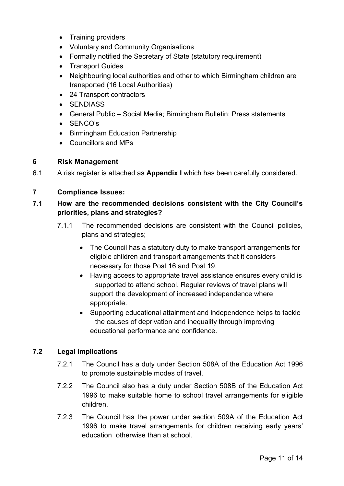- Training providers
- Voluntary and Community Organisations
- Formally notified the Secretary of State (statutory requirement)
- Transport Guides
- Neighbouring local authorities and other to which Birmingham children are transported (16 Local Authorities)
- 24 Transport contractors
- SENDIASS
- General Public Social Media; Birmingham Bulletin; Press statements
- SENCO's
- Birmingham Education Partnership
- Councillors and MPs

### **6 Risk Management**

6.1 A risk register is attached as **Appendix I** which has been carefully considered.

### **7 Compliance Issues:**

# **7.1 How are the recommended decisions consistent with the City Council's priorities, plans and strategies?**

- 7.1.1 The recommended decisions are consistent with the Council policies, plans and strategies;
	- The Council has a statutory duty to make transport arrangements for eligible children and transport arrangements that it considers necessary for those Post 16 and Post 19.
	- Having access to appropriate travel assistance ensures every child is supported to attend school. Regular reviews of travel plans will support the development of increased independence where appropriate.
	- Supporting educational attainment and independence helps to tackle the causes of deprivation and inequality through improving educational performance and confidence.

### **7.2 Legal Implications**

- 7.2.1 The Council has a duty under Section 508A of the Education Act 1996 to promote sustainable modes of travel.
- 7.2.2 The Council also has a duty under Section 508B of the Education Act 1996 to make suitable home to school travel arrangements for eligible children.
- 7.2.3 The Council has the power under section 509A of the Education Act 1996 to make travel arrangements for children receiving early years' education otherwise than at school.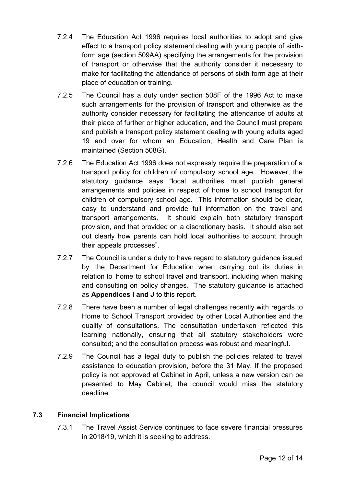- 7.2.4 The Education Act 1996 requires local authorities to adopt and give effect to a transport policy statement dealing with young people of sixthform age (section 509AA) specifying the arrangements for the provision of transport or otherwise that the authority consider it necessary to make for facilitating the attendance of persons of sixth form age at their place of education or training.
- 7.2.5 The Council has a duty under section 508F of the 1996 Act to make such arrangements for the provision of transport and otherwise as the authority consider necessary for facilitating the attendance of adults at their place of further or higher education, and the Council must prepare and publish a transport policy statement dealing with young adults aged 19 and over for whom an Education, Health and Care Plan is maintained (Section 508G).
- 7.2.6 The Education Act 1996 does not expressly require the preparation of a transport policy for children of compulsory school age. However, the statutory guidance says "local authorities must publish general arrangements and policies in respect of home to school transport for children of compulsory school age. This information should be clear, easy to understand and provide full information on the travel and transport arrangements. It should explain both statutory transport provision, and that provided on a discretionary basis. It should also set out clearly how parents can hold local authorities to account through their appeals processes".
- 7.2.7 The Council is under a duty to have regard to statutory guidance issued by the Department for Education when carrying out its duties in relation to home to school travel and transport, including when making and consulting on policy changes. The statutory guidance is attached as **Appendices I and J** to this report.
- 7.2.8 There have been a number of legal challenges recently with regards to Home to School Transport provided by other Local Authorities and the quality of consultations. The consultation undertaken reflected this learning nationally, ensuring that all statutory stakeholders were consulted; and the consultation process was robust and meaningful.
- 7.2.9 The Council has a legal duty to publish the policies related to travel assistance to education provision, before the 31 May. If the proposed policy is not approved at Cabinet in April, unless a new version can be presented to May Cabinet, the council would miss the statutory deadline.

### **7.3 Financial Implications**

7.3.1 The Travel Assist Service continues to face severe financial pressures in 2018/19, which it is seeking to address.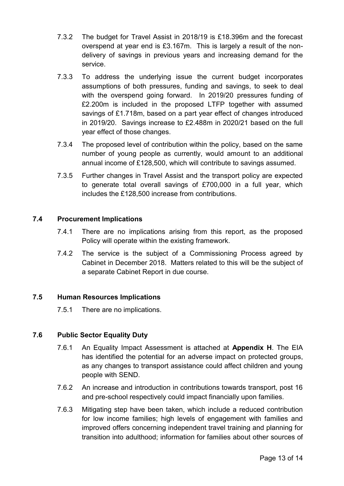- 7.3.2 The budget for Travel Assist in 2018/19 is £18.396m and the forecast overspend at year end is £3.167m. This is largely a result of the nondelivery of savings in previous years and increasing demand for the service.
- 7.3.3 To address the underlying issue the current budget incorporates assumptions of both pressures, funding and savings, to seek to deal with the overspend going forward. In 2019/20 pressures funding of £2.200m is included in the proposed LTFP together with assumed savings of £1.718m, based on a part year effect of changes introduced in 2019/20. Savings increase to £2.488m in 2020/21 based on the full year effect of those changes.
- 7.3.4 The proposed level of contribution within the policy, based on the same number of young people as currently, would amount to an additional annual income of £128,500, which will contribute to savings assumed.
- 7.3.5 Further changes in Travel Assist and the transport policy are expected to generate total overall savings of £700,000 in a full year, which includes the £128,500 increase from contributions.

# **7.4 Procurement Implications**

- 7.4.1 There are no implications arising from this report, as the proposed Policy will operate within the existing framework.
- 7.4.2 The service is the subject of a Commissioning Process agreed by Cabinet in December 2018. Matters related to this will be the subject of a separate Cabinet Report in due course.

### **7.5 Human Resources Implications**

7.5.1 There are no implications.

# **7.6 Public Sector Equality Duty**

- 7.6.1 An Equality Impact Assessment is attached at **Appendix H**. The EIA has identified the potential for an adverse impact on protected groups, as any changes to transport assistance could affect children and young people with SEND.
- 7.6.2 An increase and introduction in contributions towards transport, post 16 and pre-school respectively could impact financially upon families.
- 7.6.3 Mitigating step have been taken, which include a reduced contribution for low income families; high levels of engagement with families and improved offers concerning independent travel training and planning for transition into adulthood; information for families about other sources of